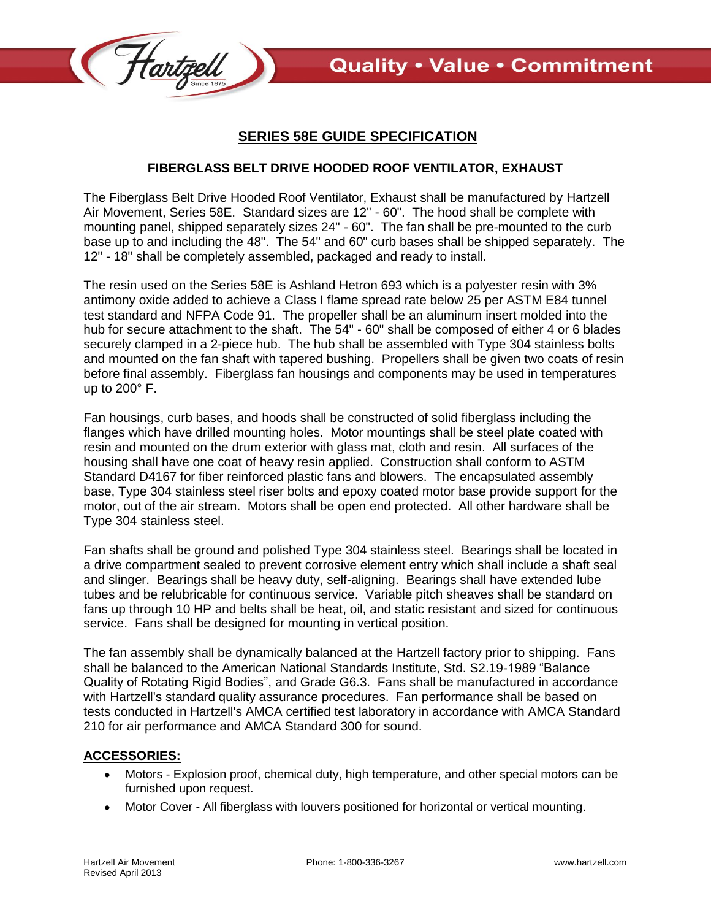

## **SERIES 58E GUIDE SPECIFICATION**

## **FIBERGLASS BELT DRIVE HOODED ROOF VENTILATOR, EXHAUST**

The Fiberglass Belt Drive Hooded Roof Ventilator, Exhaust shall be manufactured by Hartzell Air Movement, Series 58E. Standard sizes are 12" - 60". The hood shall be complete with mounting panel, shipped separately sizes 24" - 60". The fan shall be pre-mounted to the curb base up to and including the 48". The 54" and 60" curb bases shall be shipped separately. The 12" - 18" shall be completely assembled, packaged and ready to install.

The resin used on the Series 58E is Ashland Hetron 693 which is a polyester resin with 3% antimony oxide added to achieve a Class I flame spread rate below 25 per ASTM E84 tunnel test standard and NFPA Code 91. The propeller shall be an aluminum insert molded into the hub for secure attachment to the shaft. The 54" - 60" shall be composed of either 4 or 6 blades securely clamped in a 2-piece hub. The hub shall be assembled with Type 304 stainless bolts and mounted on the fan shaft with tapered bushing. Propellers shall be given two coats of resin before final assembly. Fiberglass fan housings and components may be used in temperatures up to 200° F.

Fan housings, curb bases, and hoods shall be constructed of solid fiberglass including the flanges which have drilled mounting holes. Motor mountings shall be steel plate coated with resin and mounted on the drum exterior with glass mat, cloth and resin. All surfaces of the housing shall have one coat of heavy resin applied. Construction shall conform to ASTM Standard D4167 for fiber reinforced plastic fans and blowers. The encapsulated assembly base, Type 304 stainless steel riser bolts and epoxy coated motor base provide support for the motor, out of the air stream. Motors shall be open end protected. All other hardware shall be Type 304 stainless steel.

Fan shafts shall be ground and polished Type 304 stainless steel. Bearings shall be located in a drive compartment sealed to prevent corrosive element entry which shall include a shaft seal and slinger. Bearings shall be heavy duty, self-aligning. Bearings shall have extended lube tubes and be relubricable for continuous service. Variable pitch sheaves shall be standard on fans up through 10 HP and belts shall be heat, oil, and static resistant and sized for continuous service. Fans shall be designed for mounting in vertical position.

The fan assembly shall be dynamically balanced at the Hartzell factory prior to shipping. Fans shall be balanced to the American National Standards Institute, Std. S2.19-1989 "Balance Quality of Rotating Rigid Bodies", and Grade G6.3. Fans shall be manufactured in accordance with Hartzell's standard quality assurance procedures. Fan performance shall be based on tests conducted in Hartzell's AMCA certified test laboratory in accordance with AMCA Standard 210 for air performance and AMCA Standard 300 for sound.

## **ACCESSORIES:**

- Motors Explosion proof, chemical duty, high temperature, and other special motors can be furnished upon request.
- Motor Cover All fiberglass with louvers positioned for horizontal or vertical mounting. $\bullet$